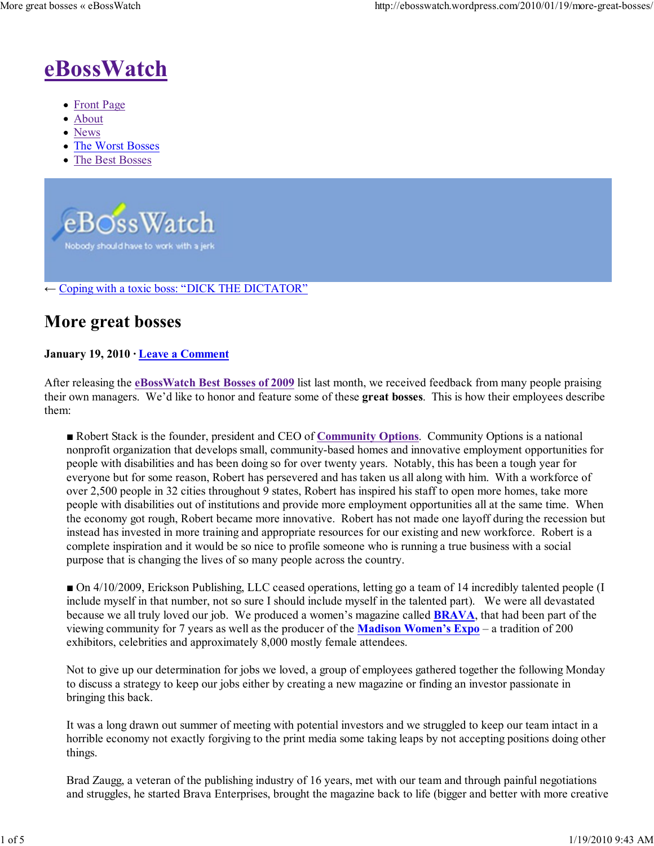

- Front Page
- About
- News
- The Worst Bosses
- The Best Bosses



#### $\leftarrow$  Coping with a toxic boss: "DICK THE DICTATOR"

### More great bosses

#### January 19, 2010 · Leave a Comment

After releasing the eBossWatch Best Bosses of 2009 list last month, we received feedback from many people praising their own managers. We'd like to honor and feature some of these great bosses. This is how their employees describe them:

■ Robert Stack is the founder, president and CEO of Community Options. Community Options is a national nonprofit organization that develops small, community-based homes and innovative employment opportunities for people with disabilities and has been doing so for over twenty years. Notably, this has been a tough year for everyone but for some reason, Robert has persevered and has taken us all along with him. With a workforce of over 2,500 people in 32 cities throughout 9 states, Robert has inspired his staff to open more homes, take more people with disabilities out of institutions and provide more employment opportunities all at the same time. When the economy got rough, Robert became more innovative. Robert has not made one layoff during the recession but instead has invested in more training and appropriate resources for our existing and new workforce. Robert is a complete inspiration and it would be so nice to profile someone who is running a true business with a social purpose that is changing the lives of so many people across the country.

■ On 4/10/2009, Erickson Publishing, LLC ceased operations, letting go a team of 14 incredibly talented people (I include myself in that number, not so sure I should include myself in the talented part). We were all devastated because we all truly loved our job. We produced a women's magazine called **BRAVA**, that had been part of the viewing community for 7 years as well as the producer of the Madison Women's Expo – a tradition of 200 exhibitors, celebrities and approximately 8,000 mostly female attendees.

Not to give up our determination for jobs we loved, a group of employees gathered together the following Monday to discuss a strategy to keep our jobs either by creating a new magazine or finding an investor passionate in bringing this back.

It was a long drawn out summer of meeting with potential investors and we struggled to keep our team intact in a horrible economy not exactly forgiving to the print media some taking leaps by not accepting positions doing other things.

Brad Zaugg, a veteran of the publishing industry of 16 years, met with our team and through painful negotiations and struggles, he started Brava Enterprises, brought the magazine back to life (bigger and better with more creative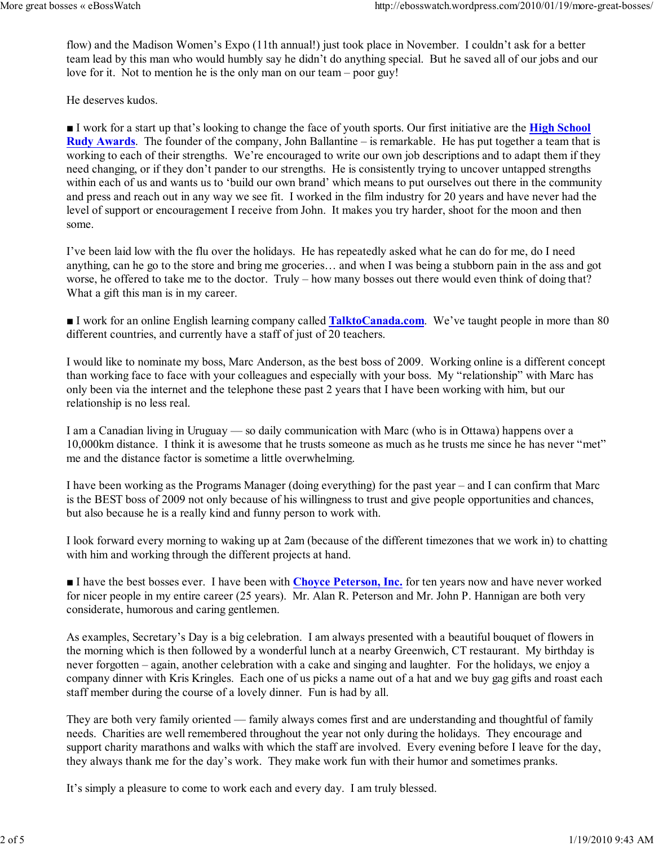flow) and the Madison Women's Expo (11th annual!) just took place in November. I couldn't ask for a better team lead by this man who would humbly say he didn't do anything special. But he saved all of our jobs and our love for it. Not to mention he is the only man on our team – poor guy!

He deserves kudos.

I work for a start up that's looking to change the face of youth sports. Our first initiative are the **High School** Rudy Awards. The founder of the company, John Ballantine – is remarkable. He has put together a team that is working to each of their strengths. We're encouraged to write our own job descriptions and to adapt them if they need changing, or if they don't pander to our strengths. He is consistently trying to uncover untapped strengths within each of us and wants us to 'build our own brand' which means to put ourselves out there in the community and press and reach out in any way we see fit. I worked in the film industry for 20 years and have never had the level of support or encouragement I receive from John. It makes you try harder, shoot for the moon and then some.

I've been laid low with the flu over the holidays. He has repeatedly asked what he can do for me, do I need anything, can he go to the store and bring me groceries… and when I was being a stubborn pain in the ass and got worse, he offered to take me to the doctor. Truly – how many bosses out there would even think of doing that? What a gift this man is in my career.

■ I work for an online English learning company called **TalktoCanada.com**. We've taught people in more than 80 different countries, and currently have a staff of just of 20 teachers.

I would like to nominate my boss, Marc Anderson, as the best boss of 2009. Working online is a different concept than working face to face with your colleagues and especially with your boss. My "relationship" with Marc has only been via the internet and the telephone these past 2 years that I have been working with him, but our relationship is no less real.

I am a Canadian living in Uruguay — so daily communication with Marc (who is in Ottawa) happens over a 10,000km distance. I think it is awesome that he trusts someone as much as he trusts me since he has never "met" me and the distance factor is sometime a little overwhelming.

I have been working as the Programs Manager (doing everything) for the past year – and I can confirm that Marc is the BEST boss of 2009 not only because of his willingness to trust and give people opportunities and chances, but also because he is a really kind and funny person to work with.

I look forward every morning to waking up at 2am (because of the different timezones that we work in) to chatting with him and working through the different projects at hand.

I have the best bosses ever. I have been with Choyce Peterson, Inc. for ten years now and have never worked for nicer people in my entire career (25 years). Mr. Alan R. Peterson and Mr. John P. Hannigan are both very considerate, humorous and caring gentlemen.

As examples, Secretary's Day is a big celebration. I am always presented with a beautiful bouquet of flowers in the morning which is then followed by a wonderful lunch at a nearby Greenwich, CT restaurant. My birthday is never forgotten – again, another celebration with a cake and singing and laughter. For the holidays, we enjoy a company dinner with Kris Kringles. Each one of us picks a name out of a hat and we buy gag gifts and roast each staff member during the course of a lovely dinner. Fun is had by all.

They are both very family oriented — family always comes first and are understanding and thoughtful of family needs. Charities are well remembered throughout the year not only during the holidays. They encourage and support charity marathons and walks with which the staff are involved. Every evening before I leave for the day, they always thank me for the day's work. They make work fun with their humor and sometimes pranks.

It's simply a pleasure to come to work each and every day. I am truly blessed.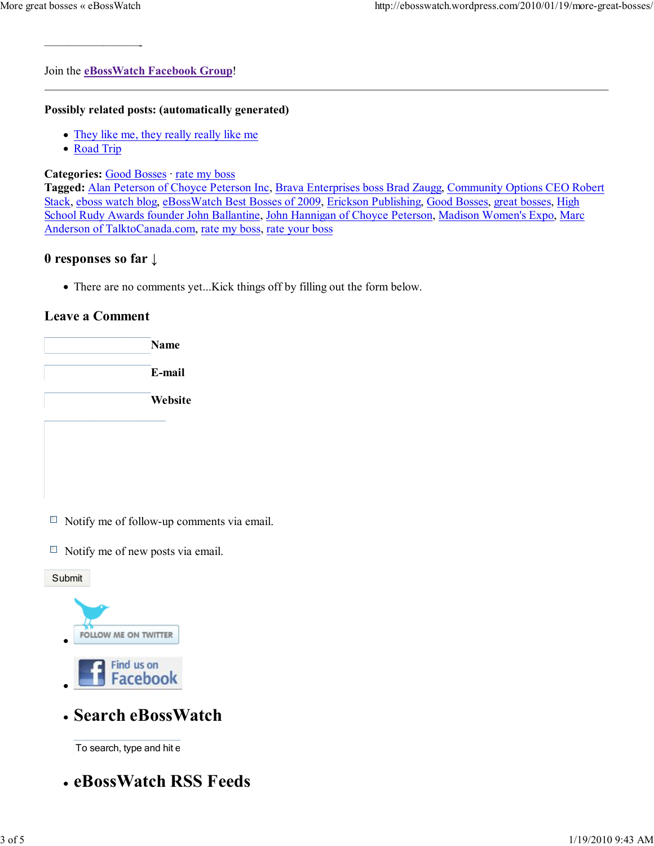Join the eBossWatch Facebook Group!

#### Possibly related posts: (automatically generated)

- They like me, they really really like me
- Road Trip

————————-

#### Categories: Good Bosses · rate my boss

Tagged: Alan Peterson of Choyce Peterson Inc, Brava Enterprises boss Brad Zaugg, Community Options CEO Robert Stack, eboss watch blog, eBossWatch Best Bosses of 2009, Erickson Publishing, Good Bosses, great bosses, High School Rudy Awards founder John Ballantine, John Hannigan of Choyce Peterson, Madison Women's Expo, Marc Anderson of TalktoCanada.com, rate my boss, rate your boss

#### 0 responses so far ↓

There are no comments yet...Kick things off by filling out the form below.

#### Leave a Comment



- $\Box$  Notify me of follow-up comments via email.
- $\Box$  Notify me of new posts via email.





Search eBossWatch

To search, type and hit  $\epsilon$ 

eBossWatch RSS Feeds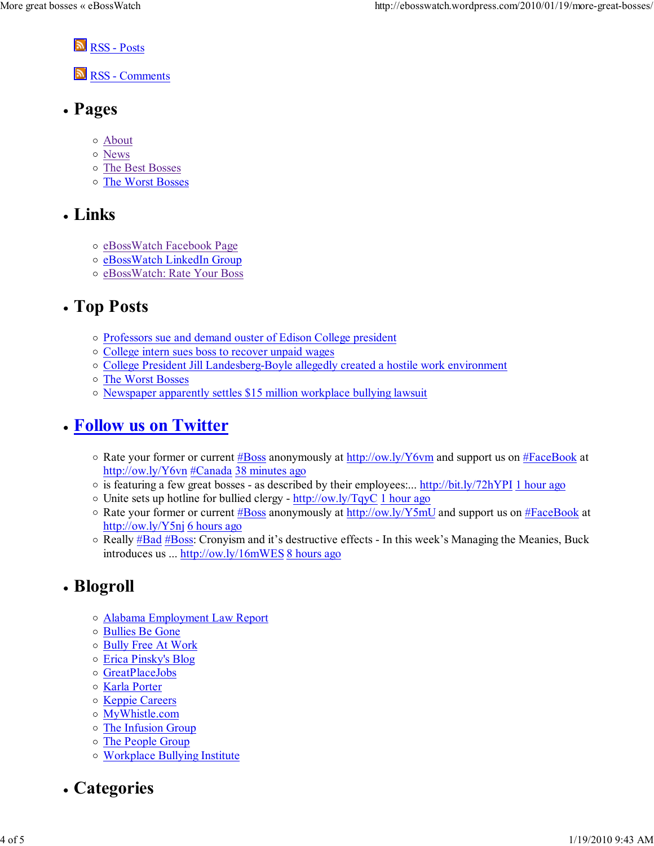**N** RSS - Posts

RSS - Comments

- Pages
	- About
	- News
	- The Best Bosses
	- The Worst Bosses

### Links

- o eBossWatch Facebook Page
- o eBossWatch LinkedIn Group
- o eBossWatch: Rate Your Boss

## Top Posts

- Professors sue and demand ouster of Edison College president
- College intern sues boss to recover unpaid wages
- College President Jill Landesberg-Boyle allegedly created a hostile work environment
- The Worst Bosses
- o Newspaper apparently settles \$15 million workplace bullying lawsuit

## Follow us on Twitter

- Rate your former or current #Boss anonymously at http://ow.ly/Y6vm and support us on #FaceBook at http://ow.ly/Y6vn #Canada 38 minutes ago
- $\circ$  is featuring a few great bosses as described by their employees:... http://bit.ly/72hYPI 1 hour ago
- $\circ$  Unite sets up hotline for bullied clergy http://ow.ly/TqyC 1 hour ago
- Rate your former or current #Boss anonymously at http://ow.ly/Y5mU and support us on #FaceBook at http://ow.ly/Y5nj 6 hours ago
- o Really #Bad #Boss: Cronyism and it's destructive effects In this week's Managing the Meanies, Buck introduces us ... http://ow.ly/16mWES 8 hours ago

# • Blogroll

- Alabama Employment Law Report
- Bullies Be Gone
- Bully Free At Work
- Erica Pinsky's Blog
- GreatPlaceJobs
- o Karla Porter
- o Keppie Careers
- MyWhistle.com
- The Infusion Group
- The People Group
- Workplace Bullying Institute
- Categories